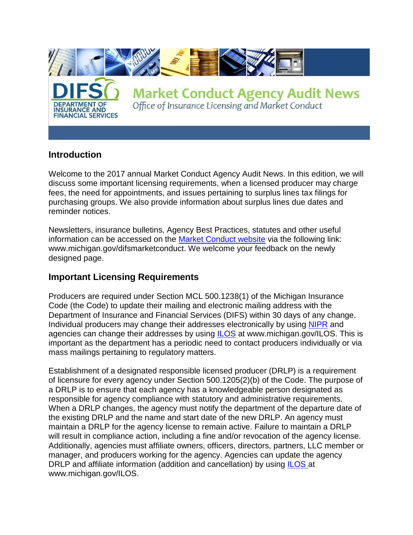

## **Introduction**

Welcome to the 2017 annual Market Conduct Agency Audit News. In this edition, we will discuss some important licensing requirements, when a licensed producer may charge fees, the need for appointments, and issues pertaining to surplus lines tax filings for purchasing groups. We also provide information about surplus lines due dates and reminder notices.

Newsletters, insurance bulletins, Agency Best Practices, statutes and other useful information can be accessed on the [Market Conduct website](http://www.michigan.gov/difsmarketconduct) via the following link: www.michigan.gov/difsmarketconduct. We welcome your feedback on the newly designed page.

## **Important Licensing Requirements**

Producers are required under Section MCL 500.1238(1) of the Michigan Insurance Code (the Code) to update their mailing and electronic mailing address with the Department of Insurance and Financial Services (DIFS) within 30 days of any change. Individual producers may change their addresses electronically by using [NIPR](http://www.nipr.com/) and agencies can change their addresses by using **[ILOS](http://www.michigan.gov/ILOS)** at www.michigan.gov/ILOS. This is important as the department has a periodic need to contact producers individually or via mass mailings pertaining to regulatory matters.

Establishment of a designated responsible licensed producer (DRLP) is a requirement of licensure for every agency under Section 500.1205(2)(b) of the Code. The purpose of a DRLP is to ensure that each agency has a knowledgeable person designated as responsible for agency compliance with statutory and administrative requirements. When a DRLP changes, the agency must notify the department of the departure date of the existing DRLP and the name and start date of the new DRLP. An agency must maintain a DRLP for the agency license to remain active. Failure to maintain a DRLP will result in compliance action, including a fine and/or revocation of the agency license. Additionally, agencies must affiliate owners, officers, directors, partners, LLC member or manager, and producers working for the agency. Agencies can update the agency DRLP and affiliate information (addition and cancellation) by using [ILOS](http://www.michigan.gov/ILOS) at www.michigan.gov/ILOS.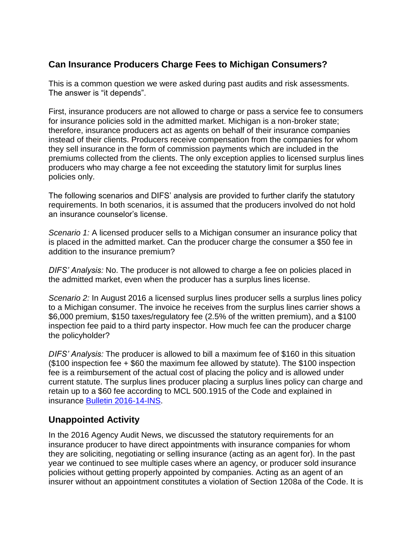# **Can Insurance Producers Charge Fees to Michigan Consumers?**

This is a common question we were asked during past audits and risk assessments. The answer is "it depends".

First, insurance producers are not allowed to charge or pass a service fee to consumers for insurance policies sold in the admitted market. Michigan is a non-broker state; therefore, insurance producers act as agents on behalf of their insurance companies instead of their clients. Producers receive compensation from the companies for whom they sell insurance in the form of commission payments which are included in the premiums collected from the clients. The only exception applies to licensed surplus lines producers who may charge a fee not exceeding the statutory limit for surplus lines policies only.

The following scenarios and DIFS' analysis are provided to further clarify the statutory requirements. In both scenarios, it is assumed that the producers involved do not hold an insurance counselor's license.

*Scenario 1:* A licensed producer sells to a Michigan consumer an insurance policy that is placed in the admitted market. Can the producer charge the consumer a \$50 fee in addition to the insurance premium?

*DIFS' Analysis:* No. The producer is not allowed to charge a fee on policies placed in the admitted market, even when the producer has a surplus lines license.

*Scenario 2:* In August 2016 a licensed surplus lines producer sells a surplus lines policy to a Michigan consumer. The invoice he receives from the surplus lines carrier shows a \$6,000 premium, \$150 taxes/regulatory fee (2.5% of the written premium), and a \$100 inspection fee paid to a third party inspector. How much fee can the producer charge the policyholder?

*DIFS' Analysis:* The producer is allowed to bill a maximum fee of \$160 in this situation (\$100 inspection fee + \$60 the maximum fee allowed by statute). The \$100 inspection fee is a reimbursement of the actual cost of placing the policy and is allowed under current statute. The surplus lines producer placing a surplus lines policy can charge and retain up to a \$60 fee according to MCL 500.1915 of the Code and explained in insurance [Bulletin 2016-14-INS.](http://www.michigan.gov/difsmarketconduct)

## **Unappointed Activity**

In the 2016 Agency Audit News, we discussed the statutory requirements for an insurance producer to have direct appointments with insurance companies for whom they are soliciting, negotiating or selling insurance (acting as an agent for). In the past year we continued to see multiple cases where an agency, or producer sold insurance policies without getting properly appointed by companies. Acting as an agent of an insurer without an appointment constitutes a violation of Section 1208a of the Code. It is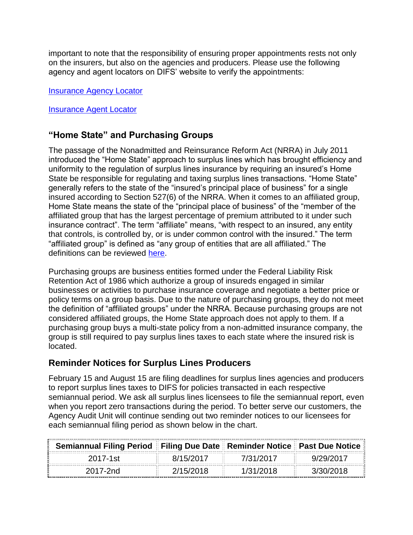important to note that the responsibility of ensuring proper appointments rests not only on the insurers, but also on the agencies and producers. Please use the following agency and agent locators on DIFS' website to verify the appointments:

[Insurance Agency Locator](http://difs.state.mi.us/locators?searchtype=InsAgency)

[Insurance Agent Locator](http://difs.state.mi.us/locators?searchtype=InsAgent)

## **"Home State" and Purchasing Groups**

The passage of the Nonadmitted and Reinsurance Reform Act (NRRA) in July 2011 introduced the "Home State" approach to surplus lines which has brought efficiency and uniformity to the regulation of surplus lines insurance by requiring an insured's Home State be responsible for regulating and taxing surplus lines transactions. "Home State" generally refers to the state of the "insured's principal place of business" for a single insured according to Section 527(6) of the NRRA. When it comes to an affiliated group, Home State means the state of the "principal place of business" of the "member of the affiliated group that has the largest percentage of premium attributed to it under such insurance contract". The term "affiliate" means, "with respect to an insured, any entity that controls, is controlled by, or is under common control with the insured." The term "affiliated group" is defined as "any group of entities that are all affiliated." The definitions can be reviewed [here.](https://www.napslo.org/docs/PDF/Legislative/NRRAfinal.pdf)

Purchasing groups are business entities formed under the Federal Liability Risk Retention Act of 1986 which authorize a group of insureds engaged in similar businesses or activities to purchase insurance coverage and negotiate a better price or policy terms on a group basis. Due to the nature of purchasing groups, they do not meet the definition of "affiliated groups" under the NRRA. Because purchasing groups are not considered affiliated groups, the Home State approach does not apply to them. If a purchasing group buys a multi-state policy from a non-admitted insurance company, the group is still required to pay surplus lines taxes to each state where the insured risk is located.

## **Reminder Notices for Surplus Lines Producers**

February 15 and August 15 are filing deadlines for surplus lines agencies and producers to report surplus lines taxes to DIFS for policies transacted in each respective semiannual period. We ask all surplus lines licensees to file the semiannual report, even when you report zero transactions during the period. To better serve our customers, the Agency Audit Unit will continue sending out two reminder notices to our licensees for each semiannual filing period as shown below in the chart.

| Semiannual Filing Period Filing Due Date Reminder Notice Past Due Notice |           |           |           |
|--------------------------------------------------------------------------|-----------|-----------|-----------|
| 2017-1st                                                                 | 8/15/2017 | 7/31/2017 | 9/29/2017 |
| 2017-2nd                                                                 | 2/15/2018 | 1/31/2018 | 3/30/2018 |